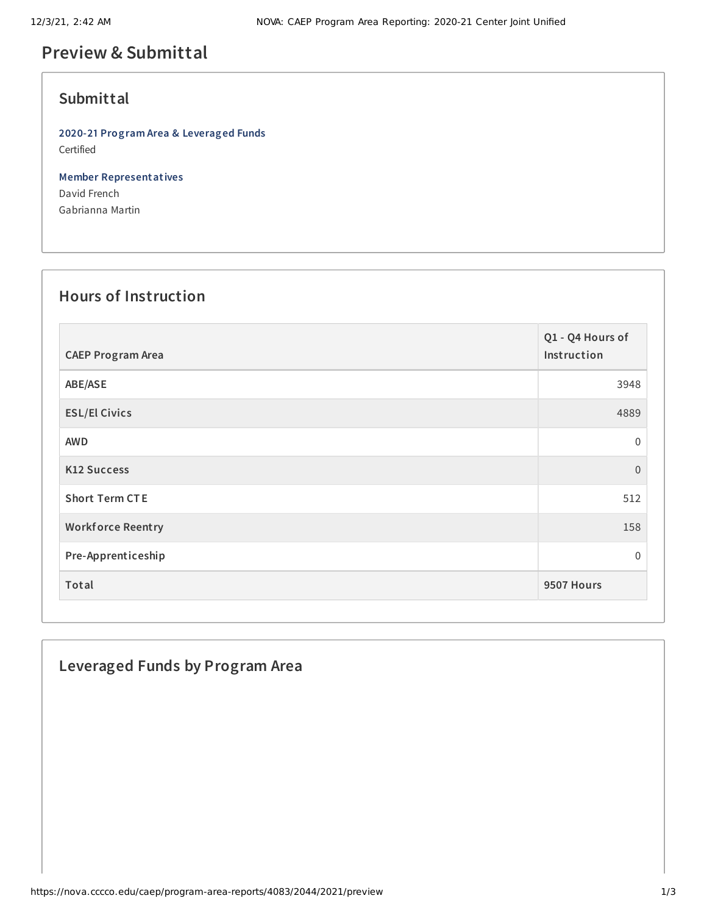# **Preview & Submittal**

## **Submittal**

**2020-21 Program Area & Leveraged Funds** Certified

**Member Representatives** David French Gabrianna Martin

#### **Hours of Instruction**

| <b>CAEP Program Area</b> | Q1 - Q4 Hours of<br>Instruction |
|--------------------------|---------------------------------|
| ABE/ASE                  | 3948                            |
| <b>ESL/El Civics</b>     | 4889                            |
| <b>AWD</b>               | 0                               |
| <b>K12 Success</b>       | $\mathbf{0}$                    |
| <b>Short Term CTE</b>    | 512                             |
| <b>Workforce Reentry</b> | 158                             |
| Pre-Apprenticeship       | $\mathbf{0}$                    |
| Total                    | 9507 Hours                      |

## **Leveraged Funds by Program Area**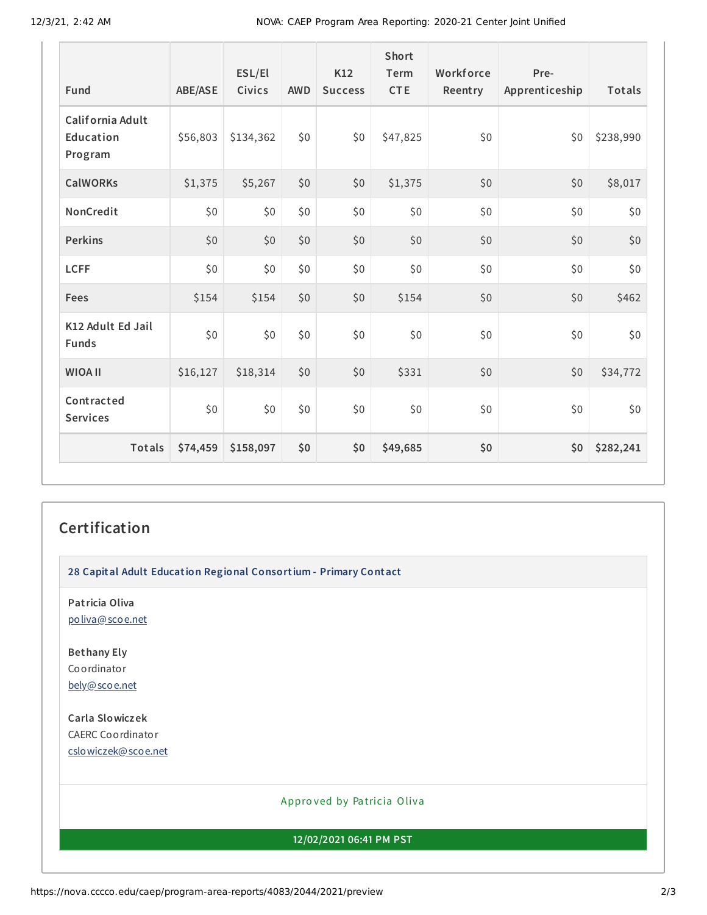| Fund                                     | <b>ABE/ASE</b> | ESL/El<br>Civics | <b>AWD</b> | K12<br><b>Success</b> | Short<br>Term<br><b>CTE</b> | Workforce<br>Reentry | Pre-<br>Apprenticeship | Totals    |
|------------------------------------------|----------------|------------------|------------|-----------------------|-----------------------------|----------------------|------------------------|-----------|
| California Adult<br>Education<br>Program | \$56,803       | \$134,362        | \$0        | \$0                   | \$47,825                    | \$0                  | \$0                    | \$238,990 |
| <b>CalWORKs</b>                          | \$1,375        | \$5,267          | \$0        | \$0                   | \$1,375                     | \$0                  | \$0                    | \$8,017   |
| NonCredit                                | \$0            | \$0              | \$0        | \$0                   | \$0                         | \$0                  | \$0                    | \$0       |
| <b>Perkins</b>                           | \$0            | \$0              | \$0        | \$0                   | \$0                         | \$0                  | \$0                    | \$0       |
| <b>LCFF</b>                              | \$0            | \$0              | \$0        | \$0                   | \$0                         | \$0                  | \$0                    | \$0       |
| Fees                                     | \$154          | \$154            | \$0        | \$0                   | \$154                       | \$0                  | \$0                    | \$462     |
| K12 Adult Ed Jail<br><b>Funds</b>        | \$0            | \$0              | \$0        | \$0                   | \$0                         | \$0                  | \$0                    | \$0       |
| <b>WIOA II</b>                           | \$16,127       | \$18,314         | \$0        | \$0                   | \$331                       | \$0                  | \$0                    | \$34,772  |
| Contracted<br><b>Services</b>            | \$0            | \$0              | \$0        | \$0                   | \$0                         | \$0                  | \$0                    | \$0       |
| <b>Totals</b>                            | \$74,459       | \$158,097        | \$0        | \$0                   | \$49,685                    | \$0                  | \$0                    | \$282,241 |

#### **Certification**

**28 Capital Adult Education Regional Consortium - Primary Contact**

**Patricia Oliva** [poliva@scoe.net](mailto:poliva@scoe.net)

**Bethany Ely** Coordinator [bely@scoe.net](mailto:bely@scoe.net)

**Carla Slowiczek** CAERC Coordinator [cslowiczek@scoe.net](mailto:cslowiczek@scoe.net)

#### Appro ved by Pa tricia Oliva

**12/02/2021 06:41 PM PST**